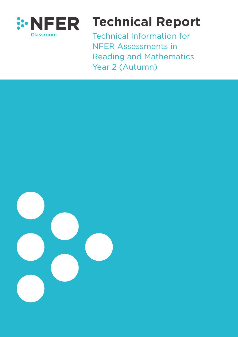

# **Technical Report**

Technical Information for NFER Assessments in Reading and Mathematics Year 2 (Autumn)

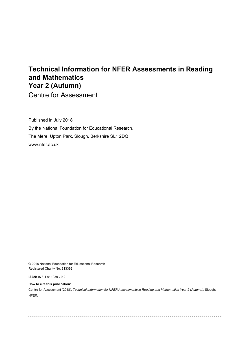## **Technical Information for NFER Assessments in Reading and Mathematics Year 2 (Autumn)**

Centre for Assessment

Published in July 2018 By the National Foundation for Educational Research, The Mere, Upton Park, Slough, Berkshire SL1 2DQ www.nfer.ac.uk

© 2018 National Foundation for Educational Research Registered Charity No. 313392

**ISBN:** 978-1-911039-79-2

**How to cite this publication:**

Centre for Assessment (2018). *Technical Information for NFER Assessments in Reading and Mathematics Year 2 (Autumn).* Slough: NFER.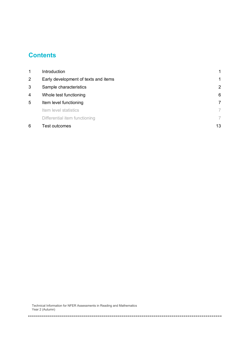## **Contents**

| 6              | Test outcomes                        | 13 |
|----------------|--------------------------------------|----|
|                | Differential item functioning        | 7  |
|                | Item level statistics                | 7  |
| 5              | Item level functioning               | 7  |
| 4              | Whole test functioning               | 6  |
| 3              | Sample characteristics               | 2  |
| $\overline{2}$ | Early development of texts and items | 1  |
| 1              | Introduction                         | 1  |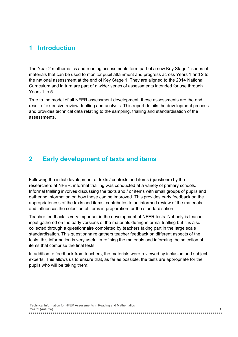#### **1 Introduction**

The Year 2 mathematics and reading assessments form part of a new Key Stage 1 series of materials that can be used to monitor pupil attainment and progress across Years 1 and 2 to the national assessment at the end of Key Stage 1. They are aligned to the 2014 National Curriculum and in turn are part of a wider series of assessments intended for use through Years 1 to 5.

True to the model of all NFER assessment development, these assessments are the end result of extensive review, trialling and analysis. This report details the development process and provides technical data relating to the sampling, trialling and standardisation of the assessments.

#### **2 Early development of texts and items**

Following the initial development of texts / contexts and items (questions) by the researchers at NFER, informal trialling was conducted at a variety of primary schools. Informal trialling involves discussing the texts and / or items with small groups of pupils and gathering information on how these can be improved. This provides early feedback on the appropriateness of the texts and items, contributes to an informed review of the materials and influences the selection of items in preparation for the standardisation.

Teacher feedback is very important in the development of NFER tests. Not only is teacher input gathered on the early versions of the materials during informal trialling but it is also collected through a questionnaire completed by teachers taking part in the large scale standardisation. This questionnaire gathers teacher feedback on different aspects of the tests; this information is very useful in refining the materials and informing the selection of items that comprise the final tests.

In addition to feedback from teachers, the materials were reviewed by inclusion and subject experts. This allows us to ensure that, as far as possible, the tests are appropriate for the pupils who will be taking them.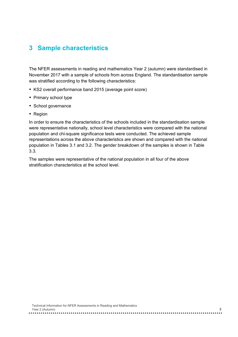### **3 Sample characteristics**

The NFER assessments in reading and mathematics Year 2 (autumn) were standardised in November 2017 with a sample of schools from across England. The standardisation sample was stratified according to the following characteristics:

- KS2 overall performance band 2015 (average point score)
- Primary school type
- School governance
- Region

In order to ensure the characteristics of the schools included in the standardisation sample were representative nationally, school level characteristics were compared with the national population and chi-square significance tests were conducted. The achieved sample representations across the above characteristics are shown and compared with the national population in Tables 3.1 and 3.2. The gender breakdown of the samples is shown in Table 3.3.

The samples were representative of the national population in all four of the above stratification characteristics at the school level.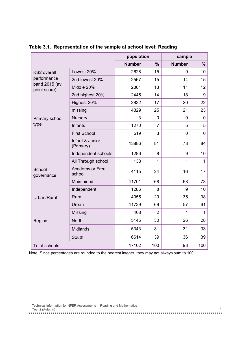|                                |                              | population    |                | sample        |                |
|--------------------------------|------------------------------|---------------|----------------|---------------|----------------|
|                                |                              | <b>Number</b> | $\frac{9}{6}$  | <b>Number</b> | $\%$           |
| <b>KS2</b> overall             | Lowest 20%                   | 2628          | 15             | 9             | 10             |
| performance                    | 2nd lowest 20%               | 2567          | 15             | 14            | 15             |
| band 2015 (av.<br>point score) | Middle 20%                   | 2301          | 13             | 11            | 12             |
|                                | 2nd highest 20%              | 2445          | 14             | 18            | 19             |
|                                | Highest 20%                  | 2832          | 17             | 20            | 22             |
|                                | missing                      | 4329          | 25             | 21            | 23             |
| Primary school                 | Nursery                      | 3             | $\overline{0}$ | 0             | 0              |
| type                           | Infants                      | 1270          | $\overline{7}$ | 5             | 5              |
|                                | <b>First School</b>          | 519           | 3              | $\mathbf{0}$  | $\overline{0}$ |
|                                | Infant & Junior<br>(Primary) | 13886         | 81             | 78            | 84             |
|                                | Independent schools          | 1286          | 8              | 9             | 10             |
|                                | All Through school           | 138           | 1              | $\mathbf 1$   | $\mathbf{1}$   |
| School<br>governance           | Academy or Free<br>school    | 4115          | 24             | 16            | 17             |
|                                | Maintained                   | 11701         | 68             | 68            | 73             |
|                                | Independent                  | 1286          | 8              | 9             | 10             |
| Urban/Rural                    | <b>Rural</b>                 | 4955          | 29             | 35            | 38             |
|                                | Urban                        | 11739         | 69             | 57            | 61             |
|                                | Missing                      | 408           | $\overline{2}$ | $\mathbf{1}$  | $\mathbf{1}$   |
| Region                         | <b>North</b>                 | 5145          | 30             | 26            | 28             |
|                                | <b>Midlands</b>              | 5343          | 31             | 31            | 33             |
|                                | South                        | 6614          | 39             | 36            | 39             |
| <b>Total schools</b>           |                              | 17102         | 100            | 93            | 100            |

**Table 3.1. Representation of the sample at school level: Reading**

Note: Since percentages are rounded to the nearest integer, they may not always sum to 100.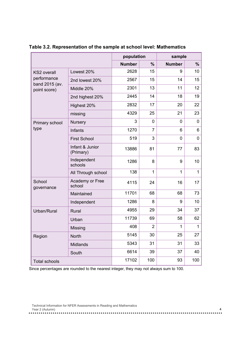|                               |                              | population    |                | sample        |              |
|-------------------------------|------------------------------|---------------|----------------|---------------|--------------|
|                               |                              | <b>Number</b> | $\frac{9}{6}$  | <b>Number</b> | $\%$         |
| <b>KS2</b> overall            | Lowest 20%                   | 2628          | 15             | 9             | 10           |
| performance<br>band 2015 (av. | 2nd lowest 20%               | 2567          | 15             | 14            | 15           |
| point score)                  | Middle 20%                   | 2301          | 13             | 11            | 12           |
|                               | 2nd highest 20%              | 2445          | 14             | 18            | 19           |
|                               | Highest 20%                  | 2832          | 17             | 20            | 22           |
|                               | missing                      | 4329          | 25             | 21            | 23           |
| Primary school                | <b>Nursery</b>               | 3             | $\Omega$       | 0             | $\mathbf 0$  |
| type                          | Infants                      | 1270          | $\overline{7}$ | 6             | 6            |
|                               | <b>First School</b>          | 519           | 3              | $\mathbf 0$   | $\mathbf 0$  |
|                               | Infant & Junior<br>(Primary) | 13886         | 81             | 77            | 83           |
|                               | Independent<br>schools       | 1286          | 8              | 9             | 10           |
|                               | All Through school           | 138           | 1              | $\mathbf{1}$  | $\mathbf{1}$ |
| School<br>governance          | Academy or Free<br>school    | 4115          | 24             | 16            | 17           |
|                               | Maintained                   | 11701         | 68             | 68            | 73           |
|                               | Independent                  | 1286          | 8              | 9             | 10           |
| Urban/Rural                   | <b>Rural</b>                 | 4955          | 29             | 34            | 37           |
|                               | Urban                        | 11739         | 69             | 58            | 62           |
|                               | Missing                      | 408           | $\overline{2}$ | $\mathbf 1$   | $\mathbf{1}$ |
| Region                        | North                        | 5145          | 30             | 25            | 27           |
|                               | Midlands                     | 5343          | 31             | 31            | 33           |
|                               | South                        | 6614          | 39             | 37            | 40           |
| <b>Total schools</b>          |                              | 17102         | 100            | 93            | 100          |

**Table 3.2. Representation of the sample at school level: Mathematics** 

Since percentages are rounded to the nearest integer, they may not always sum to 100.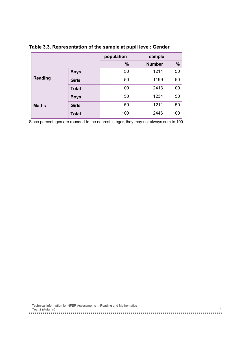|                |              | population    | sample        |     |
|----------------|--------------|---------------|---------------|-----|
|                |              | $\frac{0}{0}$ | <b>Number</b> | %   |
|                | <b>Boys</b>  | 50            | 1214          | 50  |
| <b>Reading</b> | <b>Girls</b> | 50            | 1199          | 50  |
|                | <b>Total</b> | 100           | 2413          | 100 |
|                | <b>Boys</b>  | 50            | 1234          | 50  |
| <b>Maths</b>   | <b>Girls</b> | 50            | 1211          | 50  |
|                | <b>Total</b> | 100           | 2446          | 100 |

**Table 3.3. Representation of the sample at pupil level: Gender**

Since percentages are rounded to the nearest integer, they may not always sum to 100.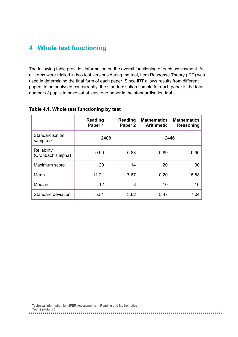## **4 Whole test functioning**

The following table provides information on the overall functioning of each assessment. As all items were trialled in two test versions during the trial, Item Response Theory (IRT) was used in determining the final form of each paper. Since IRT allows results from different papers to be analysed concurrently, the standardisation sample for each paper is the total number of pupils to have sat at least one paper in the standardisation trial.

|                                    | <b>Reading</b> | <b>Reading</b>     | <b>Mathematics</b> | <b>Mathematics</b> |
|------------------------------------|----------------|--------------------|--------------------|--------------------|
|                                    | Paper 1        | Paper <sub>2</sub> | <b>Arithmetic</b>  | Reasoning          |
| Standardisation<br>sample <i>n</i> |                | 2408               |                    | 2446               |
| Reliability<br>(Cronbach's alpha)  | 0.90           | 0.83               | 0.89               | 0.90               |
| Maximum score                      | 20             | 14                 | 20                 | 30                 |
| Mean                               | 11.21          | 7.67               | 10.20              | 15.88              |
| Median                             | 12             | 8                  | 10                 | 16                 |
| Standard deviation                 | 5.51           | 3.62               | 5.47               | 7 04               |

#### **Table 4.1. Whole test functioning by test**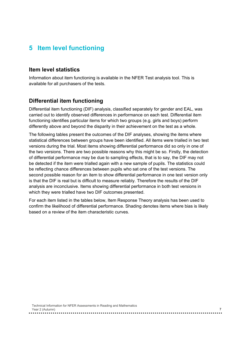## **5 Item level functioning**

#### **Item level statistics**

Information about item functioning is available in the NFER Test analysis tool. This is available for all purchasers of the tests.

#### **Differential item functioning**

Differential item functioning (DIF) analysis, classified separately for gender and EAL, was carried out to identify observed differences in performance on each test. Differential item functioning identifies particular items for which two groups (e.g. girls and boys) perform differently above and beyond the disparity in their achievement on the test as a whole.

The following tables present the outcomes of the DIF analyses, showing the items where statistical differences between groups have been identified. All items were trialled in two test versions during the trial. Most items showing differential performance did so only in one of the two versions. There are two possible reasons why this might be so. Firstly, the detection of differential performance may be due to sampling effects, that is to say, the DIF may not be detected if the item were trialled again with a new sample of pupils. The statistics could be reflecting chance differences between pupils who sat one of the test versions. The second possible reason for an item to show differential performance in one test version only is that the DIF is real but is difficult to measure reliably. Therefore the results of the DIF analysis are inconclusive. Items showing differential performance in both test versions in which they were trialled have two DIF outcomes presented.

For each item listed in the tables below, Item Response Theory analysis has been used to confirm the likelihood of differential performance. Shading denotes items where bias is likely based on a review of the item characteristic curves.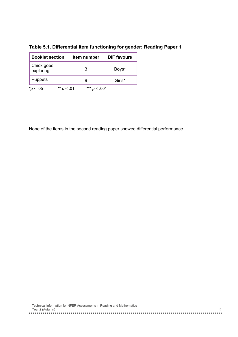| <b>Booklet section</b>  |       | ltem number     | <b>DIF</b> favours |
|-------------------------|-------|-----------------|--------------------|
| Chick goes<br>exploring |       | 3               | Boys*              |
| <b>Puppets</b>          |       |                 | Girls*             |
| < 0.05                  | - .01 | $***p$<br>⊂.001 |                    |

**Table 5.1. Differential item functioning for gender: Reading Paper 1**

None of the items in the second reading paper showed differential performance.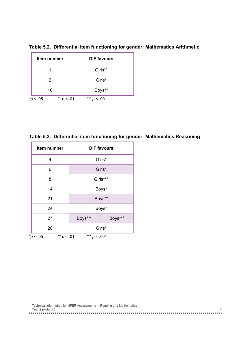|                                         | Item number | <b>DIF favours</b> |
|-----------------------------------------|-------------|--------------------|
|                                         |             | Girls**            |
|                                         |             | Girls*             |
| 10                                      |             | Boys**             |
| $** p$<br>$^{\ast}$ p<br>- .05<br>- .01 |             | *** $D$<br>< 0.001 |

**Table 5.2. Differential item functioning for gender: Mathematics Arithmetic**

**Table 5.3. Differential item functioning for gender: Mathematics Reasoning**

| Item number                                     |                    | <b>DIF favours</b> |  |  |
|-------------------------------------------------|--------------------|--------------------|--|--|
| 4                                               |                    | Girls*             |  |  |
| 6                                               |                    | Girls*             |  |  |
| 8                                               | Girls***           |                    |  |  |
| 14                                              | Boys*              |                    |  |  |
| 21                                              |                    | Boys**             |  |  |
| 24                                              |                    | Boys*              |  |  |
| 27                                              | Boys***<br>Boys*** |                    |  |  |
| 28                                              | Girls*             |                    |  |  |
| ** $p < .01$<br>*** $p < .001$<br>$*_{p}$ < .05 |                    |                    |  |  |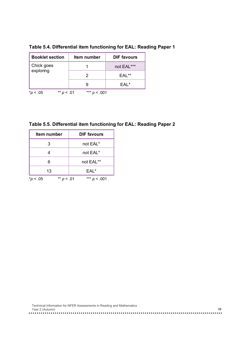| <b>Booklet section</b>  | Item number                | <b>DIF favours</b> |
|-------------------------|----------------------------|--------------------|
| Chick goes<br>exploring |                            | not EAL***         |
|                         |                            | EAL**              |
|                         |                            | EAL*               |
| $**$ p<br>05            | $***p$<br>- .01<br>< 0.001 |                    |

**Table 5.4. Differential item functioning for EAL: Reading Paper 1**

| Table 5.5. Differential item functioning for EAL: Reading Paper 2 |  |  |  |
|-------------------------------------------------------------------|--|--|--|
|                                                                   |  |  |  |

| ltem number              | <b>DIF favours</b> |
|--------------------------|--------------------|
| 3                        | not EAL*           |
|                          | not EAL*           |
| 6                        | not EAL**          |
| 13                       | EAL*               |
| ** $p < .01$<br>*p < .05 | *** $p < .001$     |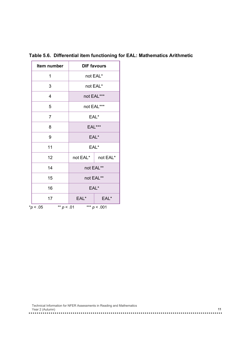| Item number                   | <b>DIF favours</b> |                |  |
|-------------------------------|--------------------|----------------|--|
| 1                             |                    | not EAL*       |  |
| 3                             |                    | not EAL*       |  |
| 4                             |                    | not EAL***     |  |
| 5                             |                    | not EAL***     |  |
| $\overline{7}$                | EAL*               |                |  |
| 8                             | EAL***             |                |  |
| 9                             | EAL*               |                |  |
| 11                            |                    | EAL*           |  |
| 12                            | not EAL*           | not EAL*       |  |
| 14                            |                    | not EAL**      |  |
| 15                            | not EAL**          |                |  |
| 16                            | EAL*               |                |  |
| 17                            | EAL*<br>EAL*       |                |  |
| ** $p < .01$<br>$*_{p}$ < .05 |                    | *** $p < .001$ |  |

**Table 5.6. Differential item functioning for EAL: Mathematics Arithmetic**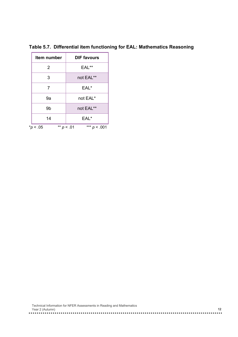| Item number | <b>DIF favours</b> |
|-------------|--------------------|
| 2           | EAL**              |
| 3           | not EAL**          |
| 7           | EAL*               |
| 9a          | not EAL*           |
| 9b          | not EAL**          |
| 14          | EAL*               |

**Table 5.7. Differential item functioning for EAL: Mathematics Reasoning**

\**p* < .05 \*\* *p* < .01 \*\*\* *p* < .001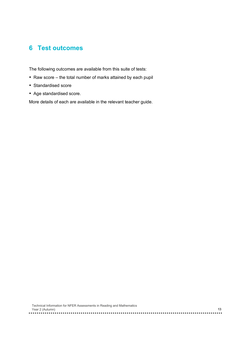## **6 Test outcomes**

The following outcomes are available from this suite of tests:

- Raw score the total number of marks attained by each pupil
- Standardised score
- Age standardised score.

More details of each are available in the relevant teacher guide.